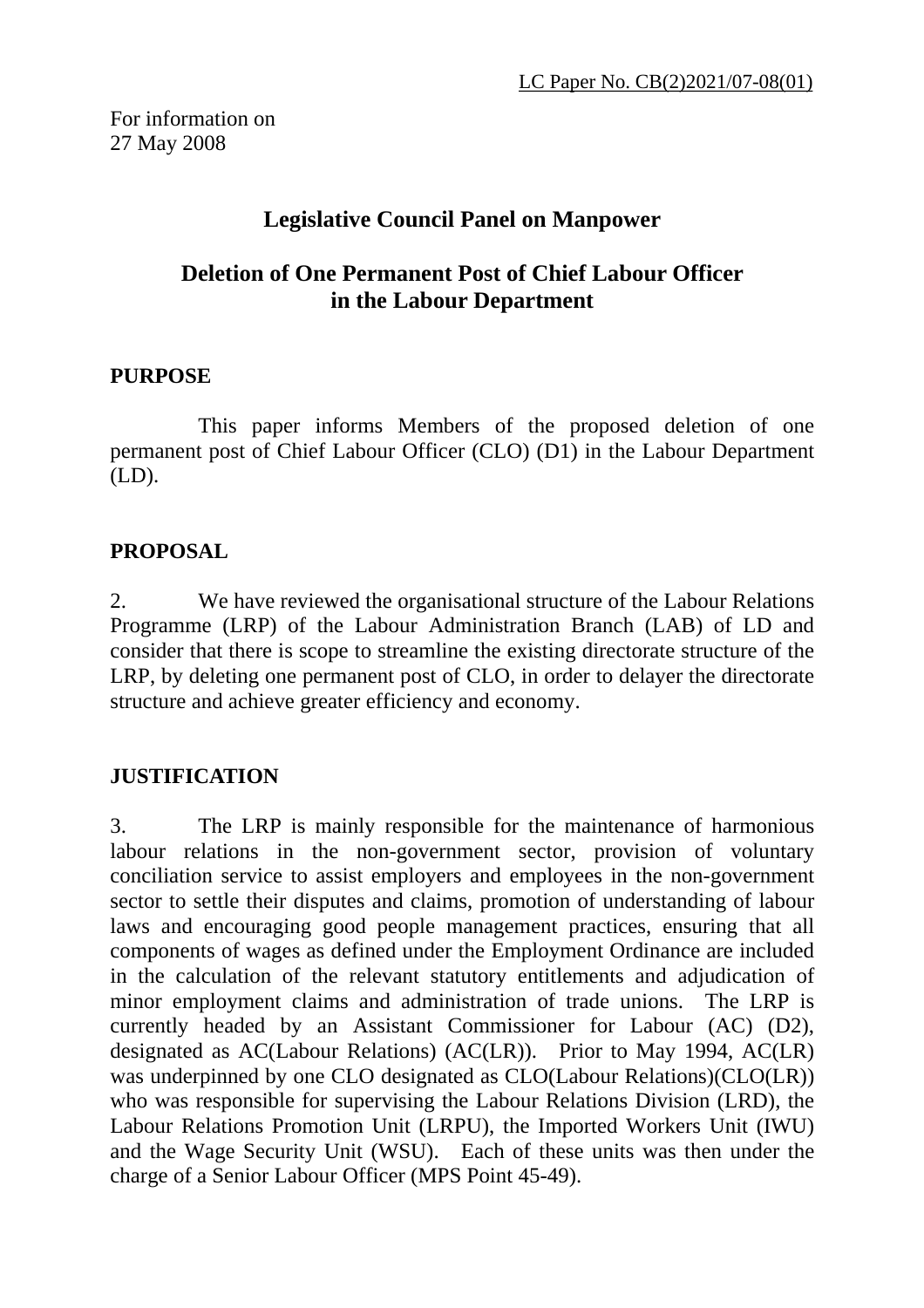# **Legislative Council Panel on Manpower**

## **Deletion of One Permanent Post of Chief Labour Officer in the Labour Department**

## **PURPOSE**

 This paper informs Members of the proposed deletion of one permanent post of Chief Labour Officer (CLO) (D1) in the Labour Department (LD).

## **PROPOSAL**

2. We have reviewed the organisational structure of the Labour Relations Programme (LRP) of the Labour Administration Branch (LAB) of LD and consider that there is scope to streamline the existing directorate structure of the LRP, by deleting one permanent post of CLO, in order to delayer the directorate structure and achieve greater efficiency and economy.

## **JUSTIFICATION**

3. The LRP is mainly responsible for the maintenance of harmonious labour relations in the non-government sector, provision of voluntary conciliation service to assist employers and employees in the non-government sector to settle their disputes and claims, promotion of understanding of labour laws and encouraging good people management practices, ensuring that all components of wages as defined under the Employment Ordinance are included in the calculation of the relevant statutory entitlements and adjudication of minor employment claims and administration of trade unions. The LRP is currently headed by an Assistant Commissioner for Labour (AC) (D2), designated as AC(Labour Relations) (AC(LR)). Prior to May 1994, AC(LR) was underpinned by one CLO designated as CLO(Labour Relations)(CLO(LR)) who was responsible for supervising the Labour Relations Division (LRD), the Labour Relations Promotion Unit (LRPU), the Imported Workers Unit (IWU) and the Wage Security Unit (WSU). Each of these units was then under the charge of a Senior Labour Officer (MPS Point 45-49).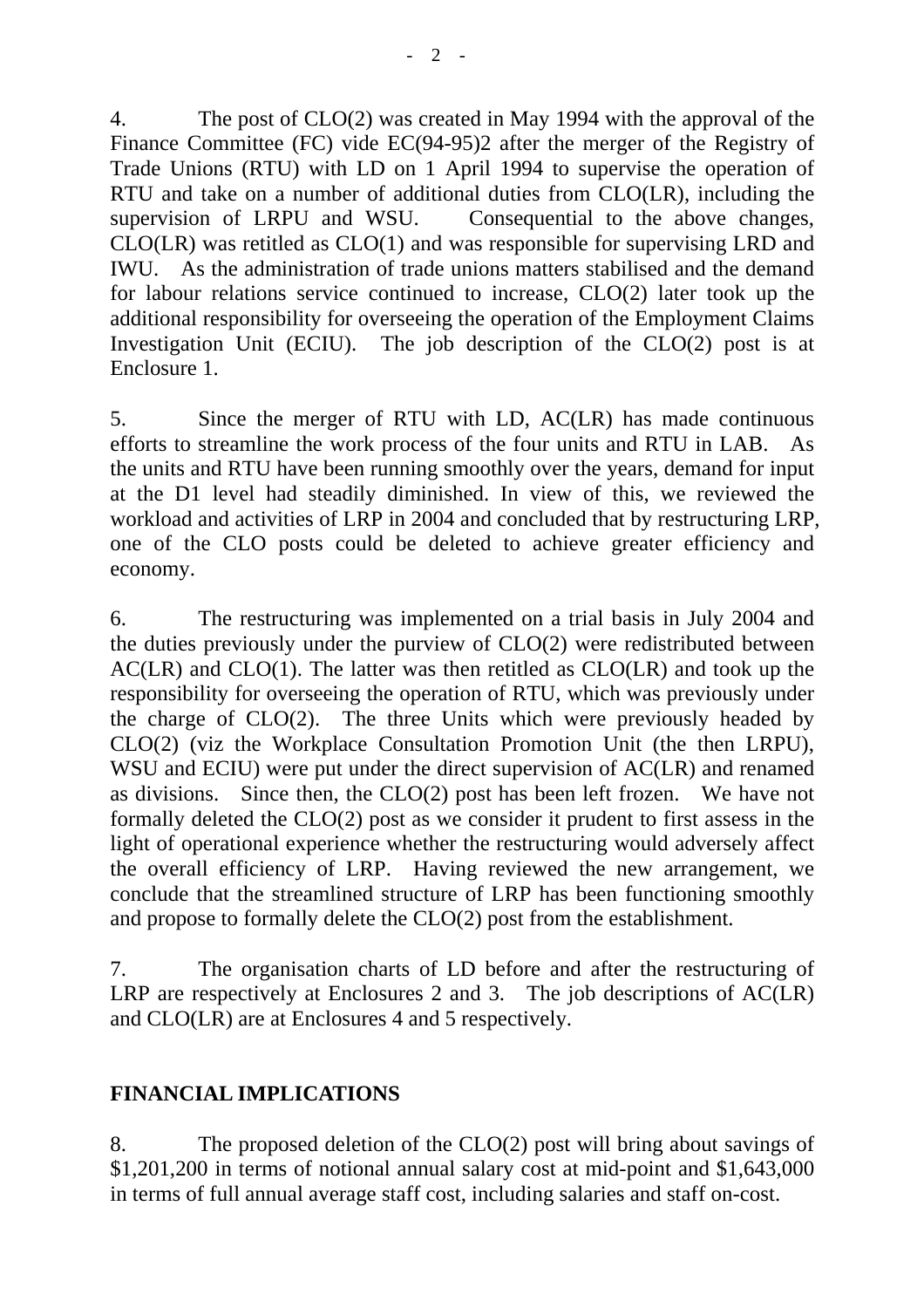4. The post of CLO(2) was created in May 1994 with the approval of the Finance Committee (FC) vide EC(94-95)2 after the merger of the Registry of Trade Unions (RTU) with LD on 1 April 1994 to supervise the operation of RTU and take on a number of additional duties from CLO(LR), including the supervision of LRPU and WSU. Consequential to the above changes, CLO(LR) was retitled as CLO(1) and was responsible for supervising LRD and IWU. As the administration of trade unions matters stabilised and the demand for labour relations service continued to increase, CLO(2) later took up the additional responsibility for overseeing the operation of the Employment Claims Investigation Unit (ECIU). The job description of the CLO(2) post is at Enclosure 1.

5. Since the merger of RTU with LD, AC(LR) has made continuous efforts to streamline the work process of the four units and RTU in LAB. the units and RTU have been running smoothly over the years, demand for input at the D1 level had steadily diminished. In view of this, we reviewed the workload and activities of LRP in 2004 and concluded that by restructuring LRP, one of the CLO posts could be deleted to achieve greater efficiency and economy.

6. The restructuring was implemented on a trial basis in July 2004 and the duties previously under the purview of CLO(2) were redistributed between  $AC(LR)$  and  $CLO(1)$ . The latter was then retitled as  $CLO(LR)$  and took up the responsibility for overseeing the operation of RTU, which was previously under the charge of CLO(2). The three Units which were previously headed by CLO(2) (viz the Workplace Consultation Promotion Unit (the then LRPU), WSU and ECIU) were put under the direct supervision of AC(LR) and renamed as divisions. Since then, the CLO(2) post has been left frozen. We have not formally deleted the CLO(2) post as we consider it prudent to first assess in the light of operational experience whether the restructuring would adversely affect the overall efficiency of LRP. Having reviewed the new arrangement, we conclude that the streamlined structure of LRP has been functioning smoothly and propose to formally delete the CLO(2) post from the establishment.

7. The organisation charts of LD before and after the restructuring of LRP are respectively at Enclosures 2 and 3. The job descriptions of AC(LR) and CLO(LR) are at Enclosures 4 and 5 respectively.

## **FINANCIAL IMPLICATIONS**

8. The proposed deletion of the CLO(2) post will bring about savings of \$1,201,200 in terms of notional annual salary cost at mid-point and \$1,643,000 in terms of full annual average staff cost, including salaries and staff on-cost.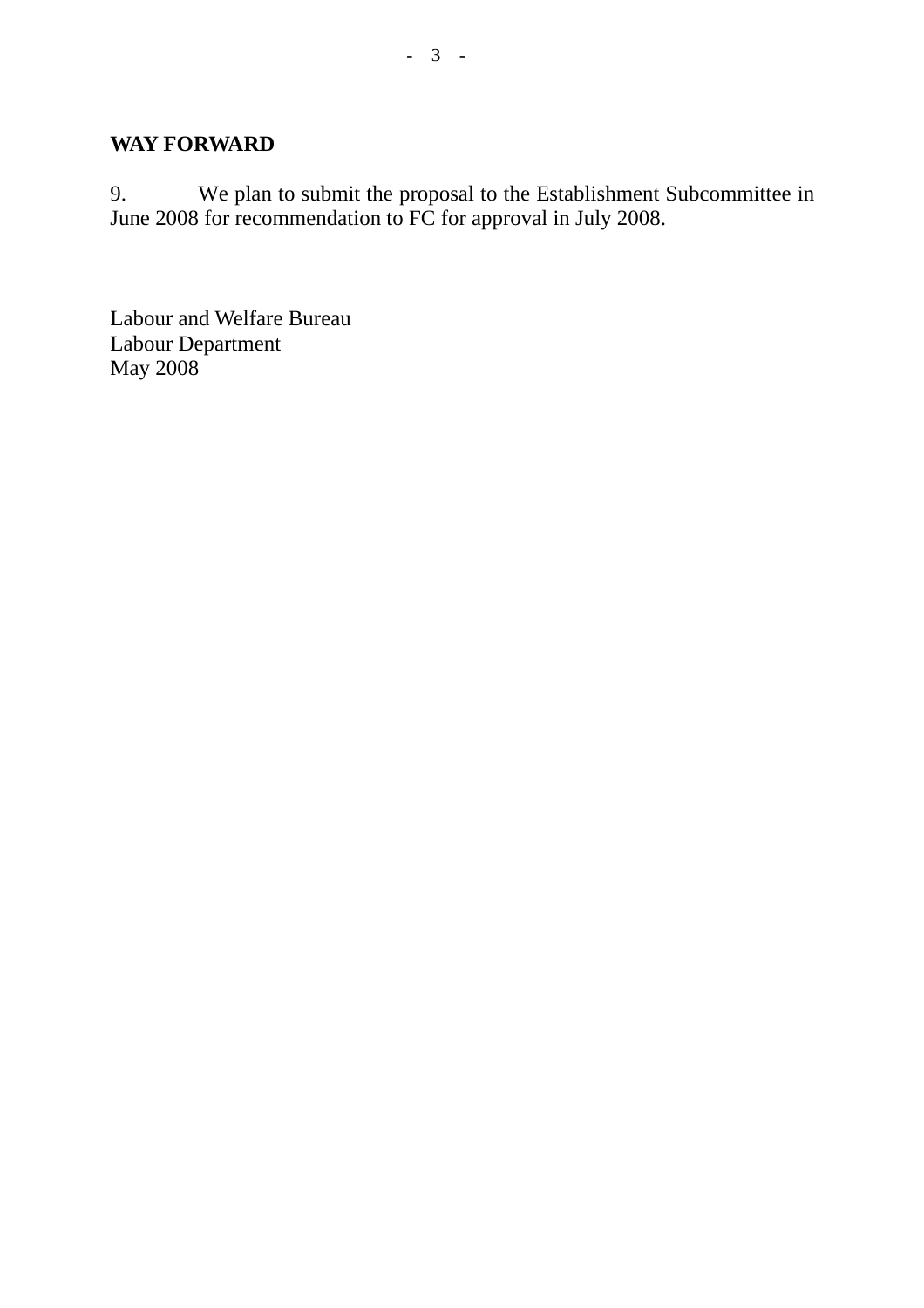## **WAY FORWARD**

9. We plan to submit the proposal to the Establishment Subcommittee in June 2008 for recommendation to FC for approval in July 2008.

Labour and Welfare Bureau Labour Department May 2008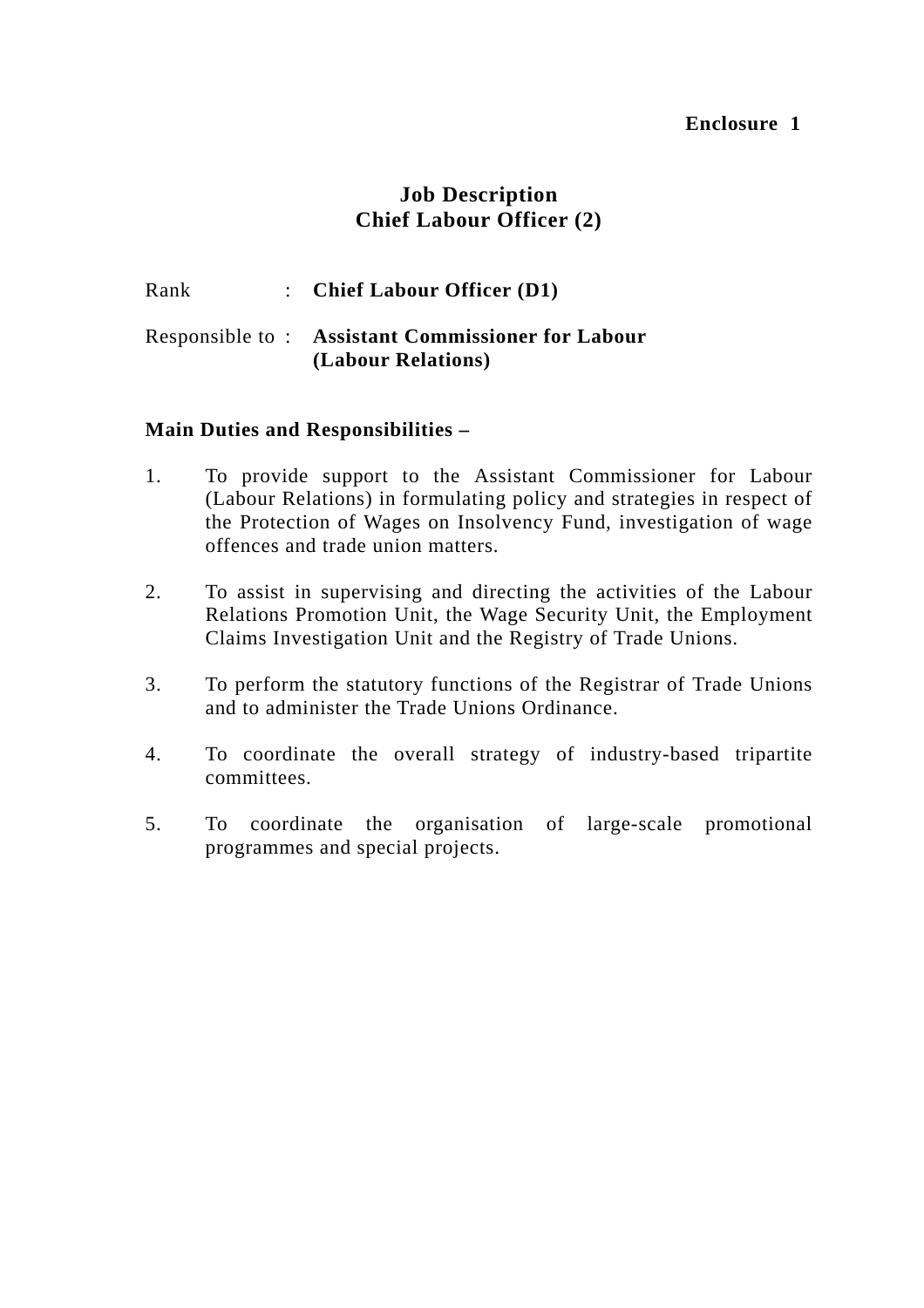## **Job Description Chief Labour Officer (2)**

### Rank : **Chief Labour Officer (D1)**

### Responsible to : **Assistant Commissioner for Labour (Labour Relations)**

### **Main Duties and Responsibilities –**

- 1. To provide support to the Assistant Commissioner for Labour (Labour Relations) in formulating policy and strategies in respect of the Protection of Wages on Insolvency Fund, investigation of wage offences and trade union matters.
- 2. To assist in supervising and directing the activities of the Labour Relations Promotion Unit, the Wage Security Unit, the Employment Claims Investigation Unit and the Registry of Trade Unions.
- 3. To perform the statutory functions of the Registrar of Trade Unions and to administer the Trade Unions Ordinance.
- 4. To coordinate the overall strategy of industry-based tripartite committees.
- 5. To coordinate the organisation of large-scale promotional programmes and special projects.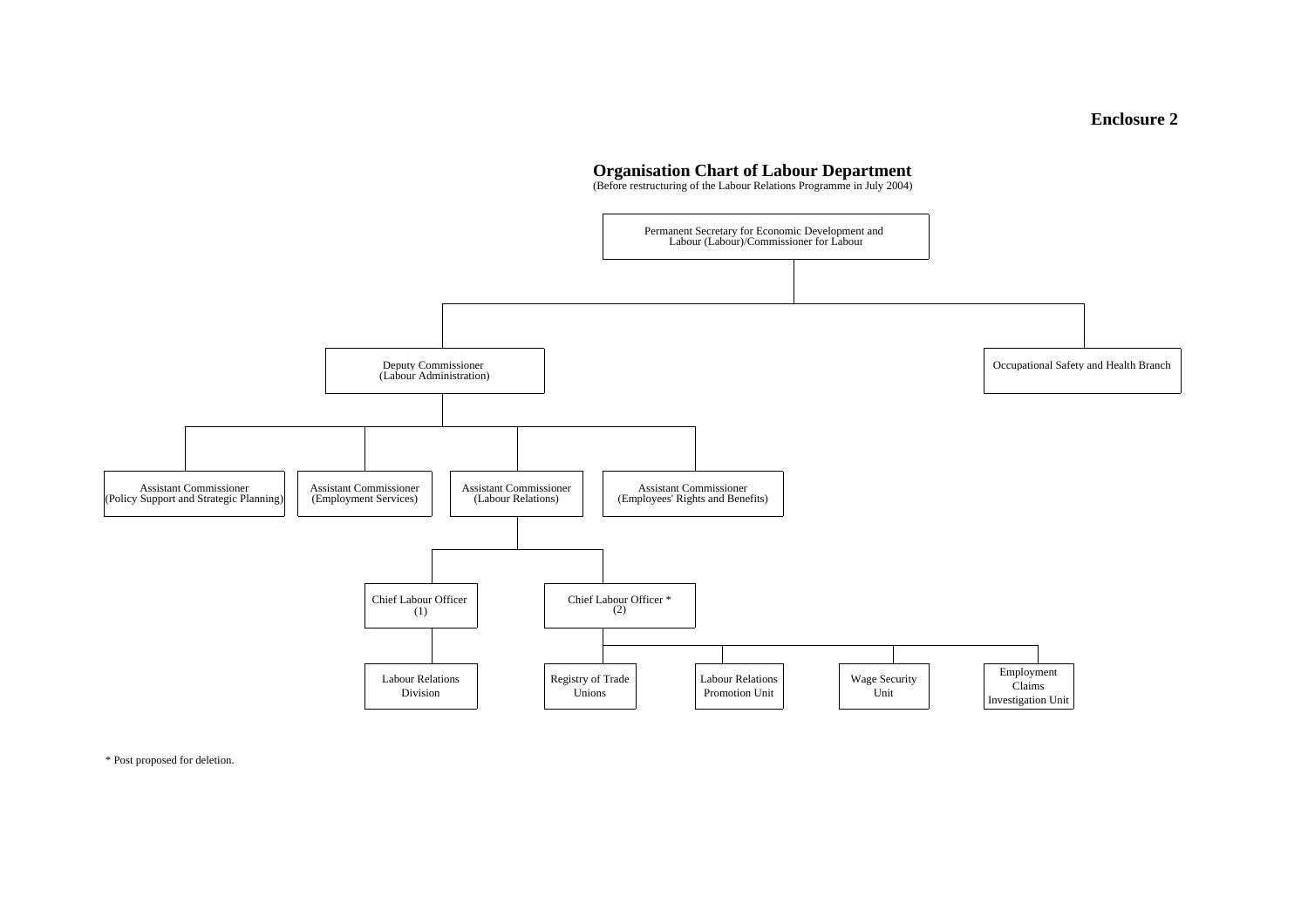#### **Organisation Chart of Labour Department**

(Before restructuring of the Labour Relations Programme in July 2004)



\* Post proposed for deletion.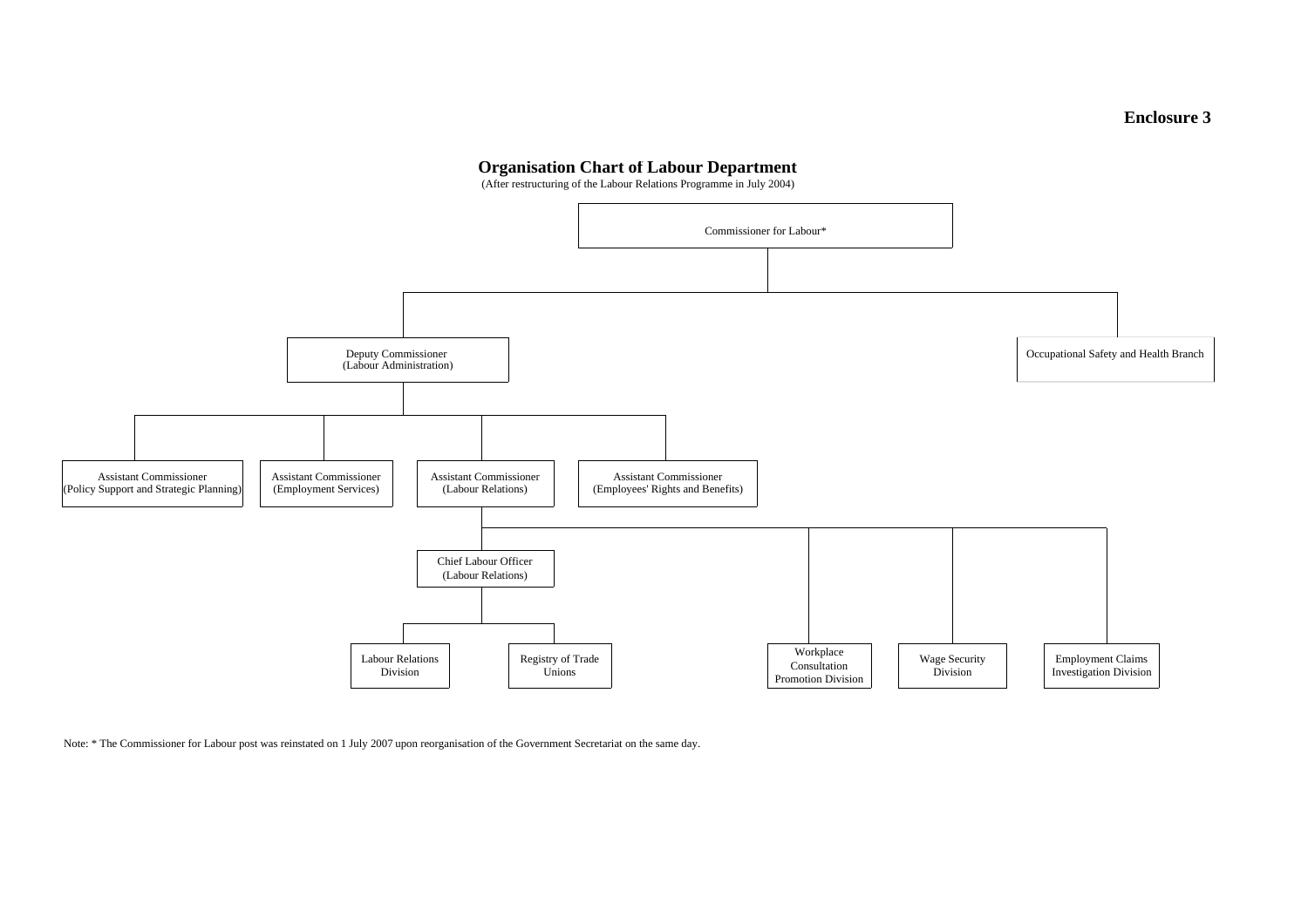### **Organisation Chart of Labour Department**

(After restructuring of the Labour Relations Programme in July 2004)



Note: \* The Commissioner for Labour post was reinstated on 1 July 2007 upon reorganisation of the Government Secretariat on the same day.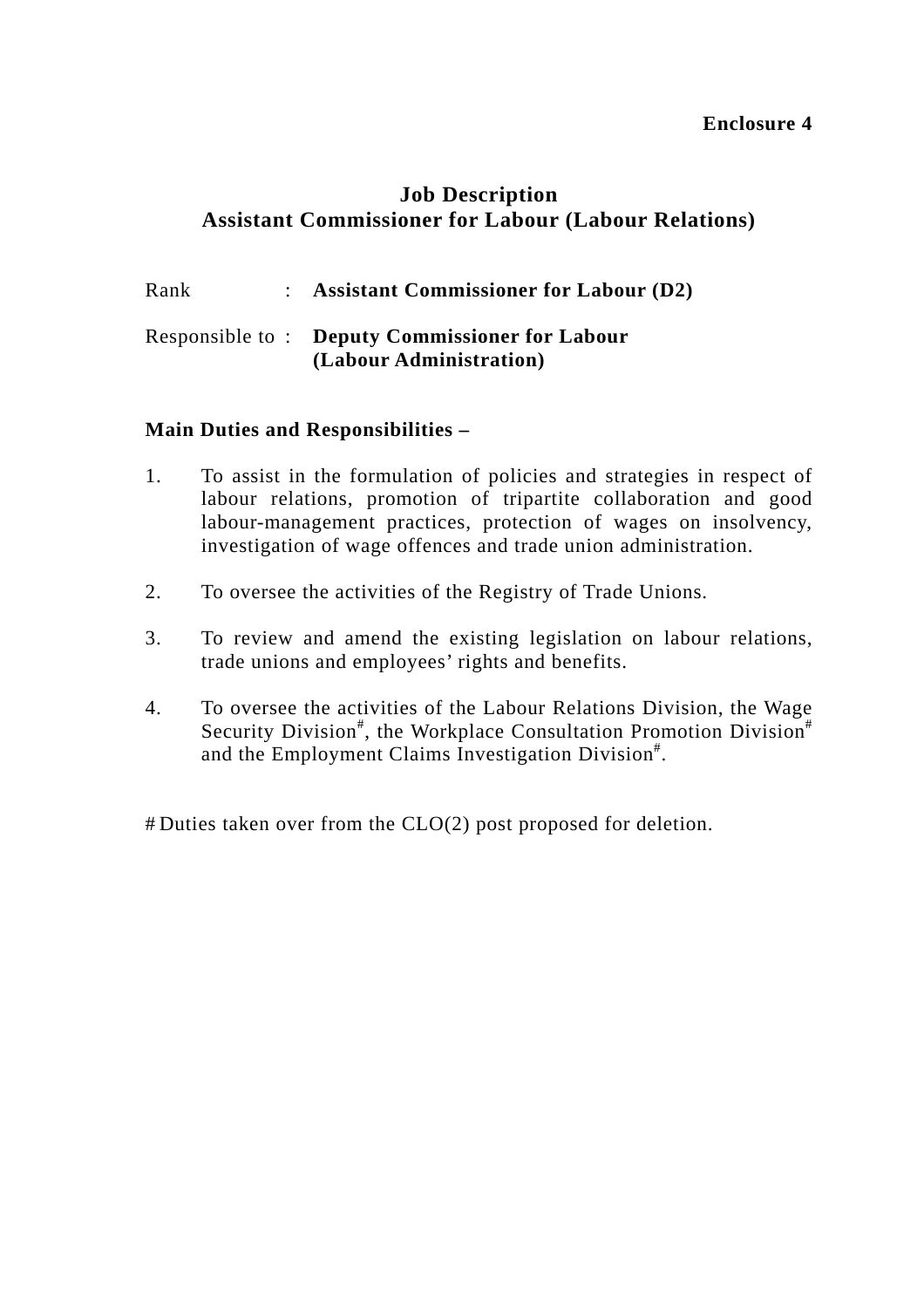## **Job Description Assistant Commissioner for Labour (Labour Relations)**

| Rank | : Assistant Commissioner for Labour $(D2)$            |
|------|-------------------------------------------------------|
|      | <b>Responsible to: Deputy Commissioner for Labour</b> |

### **(Labour Administration)**

### **Main Duties and Responsibilities –**

- 1. To assist in the formulation of policies and strategies in respect of labour relations, promotion of tripartite collaboration and good labour-management practices, protection of wages on insolvency, investigation of wage offences and trade union administration.
- 2. To oversee the activities of the Registry of Trade Unions.
- 3. To review and amend the existing legislation on labour relations, trade unions and employees' rights and benefits.
- 4. To oversee the activities of the Labour Relations Division, the Wage Security Division<sup>#</sup>, the Workplace Consultation Promotion Division<sup>#</sup> and the Employment Claims Investigation Division#.

# Duties taken over from the CLO(2) post proposed for deletion.